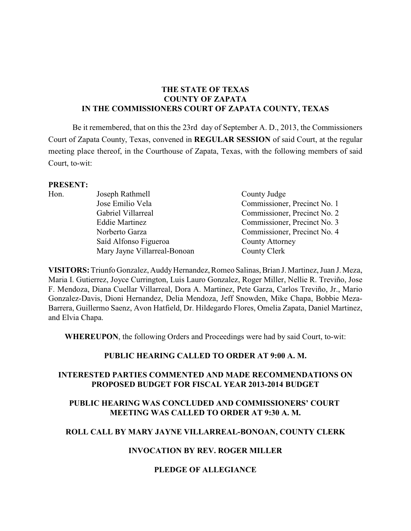# **THE STATE OF TEXAS COUNTY OF ZAPATA IN THE COMMISSIONERS COURT OF ZAPATA COUNTY, TEXAS**

Be it remembered, that on this the 23rd day of September A. D., 2013, the Commissioners Court of Zapata County, Texas, convened in **REGULAR SESSION** of said Court, at the regular meeting place thereof, in the Courthouse of Zapata, Texas, with the following members of said Court, to-wit:

## **PRESENT:**

| Hon. | Joseph Rathmell              | County Judge                 |
|------|------------------------------|------------------------------|
|      | Jose Emilio Vela             | Commissioner, Precinct No. 1 |
|      | Gabriel Villarreal           | Commissioner, Precinct No. 2 |
|      | <b>Eddie Martinez</b>        | Commissioner, Precinct No. 3 |
|      | Norberto Garza               | Commissioner, Precinct No. 4 |
|      | Saíd Alfonso Figueroa        | <b>County Attorney</b>       |
|      | Mary Jayne Villarreal-Bonoan | County Clerk                 |

**VISITORS:** Triunfo Gonzalez, AuddyHernandez, Romeo Salinas, Brian J. Martinez, Juan J. Meza, Maria I. Gutierrez, Joyce Currington, Luis Lauro Gonzalez, Roger Miller, Nellie R. Treviño, Jose F. Mendoza, Diana Cuellar Villarreal, Dora A. Martinez, Pete Garza, Carlos Treviño, Jr., Mario Gonzalez-Davis, Dioni Hernandez, Delia Mendoza, Jeff Snowden, Mike Chapa, Bobbie Meza-Barrera, Guillermo Saenz, Avon Hatfield, Dr. Hildegardo Flores, Omelia Zapata, Daniel Martinez, and Elvia Chapa.

**WHEREUPON**, the following Orders and Proceedings were had by said Court, to-wit:

# **PUBLIC HEARING CALLED TO ORDER AT 9:00 A. M.**

# **INTERESTED PARTIES COMMENTED AND MADE RECOMMENDATIONS ON PROPOSED BUDGET FOR FISCAL YEAR 2013-2014 BUDGET**

# **PUBLIC HEARING WAS CONCLUDED AND COMMISSIONERS' COURT MEETING WAS CALLED TO ORDER AT 9:30 A. M.**

# **ROLL CALL BY MARY JAYNE VILLARREAL-BONOAN, COUNTY CLERK**

#### **INVOCATION BY REV. ROGER MILLER**

# **PLEDGE OF ALLEGIANCE**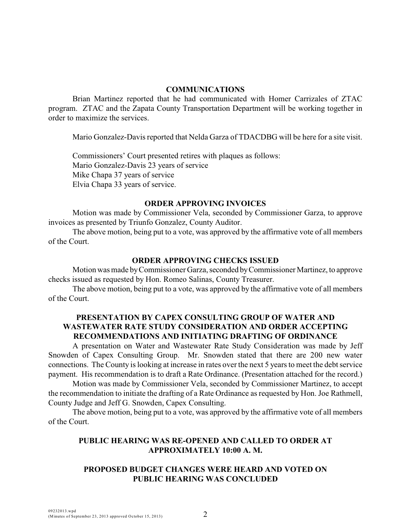#### **COMMUNICATIONS**

Brian Martinez reported that he had communicated with Homer Carrizales of ZTAC program. ZTAC and the Zapata County Transportation Department will be working together in order to maximize the services.

Mario Gonzalez-Davis reported that Nelda Garza of TDACDBG will be here for a site visit.

Commissioners' Court presented retires with plaques as follows: Mario Gonzalez-Davis 23 years of service Mike Chapa 37 years of service Elvia Chapa 33 years of service.

#### **ORDER APPROVING INVOICES**

Motion was made by Commissioner Vela, seconded by Commissioner Garza, to approve invoices as presented by Triunfo Gonzalez, County Auditor.

The above motion, being put to a vote, was approved by the affirmative vote of all members of the Court.

#### **ORDER APPROVING CHECKS ISSUED**

Motion was made by Commissioner Garza, seconded by Commissioner Martinez, to approve checks issued as requested by Hon. Romeo Salinas, County Treasurer.

The above motion, being put to a vote, was approved by the affirmative vote of all members of the Court.

## **PRESENTATION BY CAPEX CONSULTING GROUP OF WATER AND WASTEWATER RATE STUDY CONSIDERATION AND ORDER ACCEPTING RECOMMENDATIONS AND INITIATING DRAFTING OF ORDINANCE**

A presentation on Water and Wastewater Rate Study Consideration was made by Jeff Snowden of Capex Consulting Group. Mr. Snowden stated that there are 200 new water connections. The County is looking at increase in rates over the next 5 years to meet the debt service payment. His recommendation is to draft a Rate Ordinance. (Presentation attached for the record.)

Motion was made by Commissioner Vela, seconded by Commissioner Martinez, to accept the recommendation to initiate the drafting of a Rate Ordinance as requested by Hon. Joe Rathmell, County Judge and Jeff G. Snowden, Capex Consulting.

The above motion, being put to a vote, was approved by the affirmative vote of all members of the Court.

# **PUBLIC HEARING WAS RE-OPENED AND CALLED TO ORDER AT APPROXIMATELY 10:00 A. M.**

## **PROPOSED BUDGET CHANGES WERE HEARD AND VOTED ON PUBLIC HEARING WAS CONCLUDED**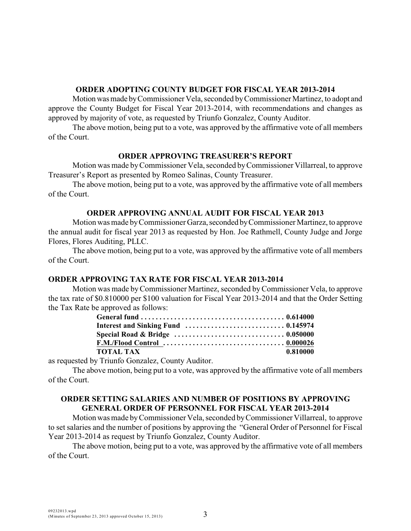#### **ORDER ADOPTING COUNTY BUDGET FOR FISCAL YEAR 2013-2014**

Motion was made by Commissioner Vela, seconded by Commissioner Martinez, to adopt and approve the County Budget for Fiscal Year 2013-2014, with recommendations and changes as approved by majority of vote, as requested by Triunfo Gonzalez, County Auditor.

The above motion, being put to a vote, was approved by the affirmative vote of all members of the Court.

#### **ORDER APPROVING TREASURER'S REPORT**

Motion was made by Commissioner Vela, seconded byCommissioner Villarreal, to approve Treasurer's Report as presented by Romeo Salinas, County Treasurer.

The above motion, being put to a vote, was approved by the affirmative vote of all members of the Court.

#### **ORDER APPROVING ANNUAL AUDIT FOR FISCAL YEAR 2013**

Motion was made by Commissioner Garza, seconded by Commissioner Martinez, to approve the annual audit for fiscal year 2013 as requested by Hon. Joe Rathmell, County Judge and Jorge Flores, Flores Auditing, PLLC.

The above motion, being put to a vote, was approved by the affirmative vote of all members of the Court.

#### **ORDER APPROVING TAX RATE FOR FISCAL YEAR 2013-2014**

Motion was made by Commissioner Martinez, seconded byCommissioner Vela, to approve the tax rate of \$0.810000 per \$100 valuation for Fiscal Year 2013-2014 and that the Order Setting the Tax Rate be approved as follows:

| Special Road & Bridge  0.050000 |          |
|---------------------------------|----------|
|                                 |          |
| <b>TOTAL TAX</b>                | 0.810000 |

as requested by Triunfo Gonzalez, County Auditor.

The above motion, being put to a vote, was approved by the affirmative vote of all members of the Court.

#### **ORDER SETTING SALARIES AND NUMBER OF POSITIONS BY APPROVING GENERAL ORDER OF PERSONNEL FOR FISCAL YEAR 2013-2014**

Motion was made byCommissioner Vela, seconded by Commissioner Villarreal, to approve to set salaries and the number of positions by approving the "General Order of Personnel for Fiscal Year 2013-2014 as request by Triunfo Gonzalez, County Auditor.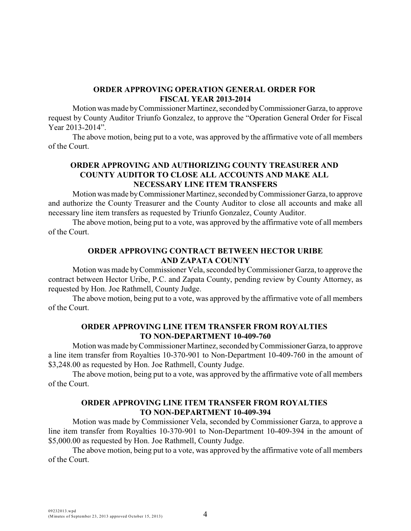## **ORDER APPROVING OPERATION GENERAL ORDER FOR FISCAL YEAR 2013-2014**

Motion was made by Commissioner Martinez, seconded by Commissioner Garza, to approve request by County Auditor Triunfo Gonzalez, to approve the "Operation General Order for Fiscal Year 2013-2014".

The above motion, being put to a vote, was approved by the affirmative vote of all members of the Court.

# **ORDER APPROVING AND AUTHORIZING COUNTY TREASURER AND COUNTY AUDITOR TO CLOSE ALL ACCOUNTS AND MAKE ALL NECESSARY LINE ITEM TRANSFERS**

Motion was made by Commissioner Martinez, seconded by Commissioner Garza, to approve and authorize the County Treasurer and the County Auditor to close all accounts and make all necessary line item transfers as requested by Triunfo Gonzalez, County Auditor.

The above motion, being put to a vote, was approved by the affirmative vote of all members of the Court.

# **ORDER APPROVING CONTRACT BETWEEN HECTOR URIBE AND ZAPATA COUNTY**

Motion was made by Commissioner Vela, seconded by Commissioner Garza, to approve the contract between Hector Uribe, P.C. and Zapata County, pending review by County Attorney, as requested by Hon. Joe Rathmell, County Judge.

The above motion, being put to a vote, was approved by the affirmative vote of all members of the Court.

### **ORDER APPROVING LINE ITEM TRANSFER FROM ROYALTIES TO NON-DEPARTMENT 10-409-760**

Motion was made by Commissioner Martinez, seconded by Commissioner Garza, to approve a line item transfer from Royalties 10-370-901 to Non-Department 10-409-760 in the amount of \$3,248.00 as requested by Hon. Joe Rathmell, County Judge.

The above motion, being put to a vote, was approved by the affirmative vote of all members of the Court.

## **ORDER APPROVING LINE ITEM TRANSFER FROM ROYALTIES TO NON-DEPARTMENT 10-409-394**

Motion was made by Commissioner Vela, seconded by Commissioner Garza, to approve a line item transfer from Royalties 10-370-901 to Non-Department 10-409-394 in the amount of \$5,000.00 as requested by Hon. Joe Rathmell, County Judge.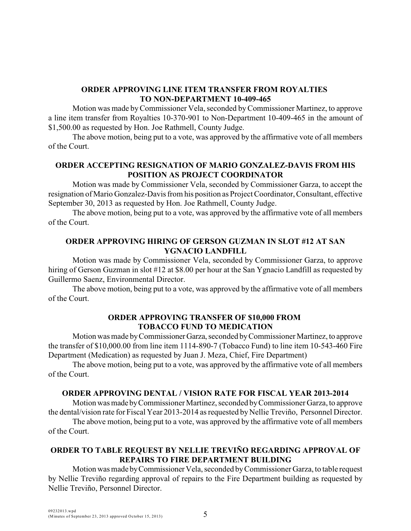## **ORDER APPROVING LINE ITEM TRANSFER FROM ROYALTIES TO NON-DEPARTMENT 10-409-465**

Motion was made byCommissioner Vela, seconded by Commissioner Martinez, to approve a line item transfer from Royalties 10-370-901 to Non-Department 10-409-465 in the amount of \$1,500.00 as requested by Hon. Joe Rathmell, County Judge.

The above motion, being put to a vote, was approved by the affirmative vote of all members of the Court.

# **ORDER ACCEPTING RESIGNATION OF MARIO GONZALEZ-DAVIS FROM HIS POSITION AS PROJECT COORDINATOR**

Motion was made by Commissioner Vela, seconded by Commissioner Garza, to accept the resignation of Mario Gonzalez-Davis from his position as Project Coordinator, Consultant, effective September 30, 2013 as requested by Hon. Joe Rathmell, County Judge.

The above motion, being put to a vote, was approved by the affirmative vote of all members of the Court.

# **ORDER APPROVING HIRING OF GERSON GUZMAN IN SLOT #12 AT SAN YGNACIO LANDFILL**

Motion was made by Commissioner Vela, seconded by Commissioner Garza, to approve hiring of Gerson Guzman in slot #12 at \$8.00 per hour at the San Ygnacio Landfill as requested by Guillermo Saenz, Environmental Director.

The above motion, being put to a vote, was approved by the affirmative vote of all members of the Court.

## **ORDER APPROVING TRANSFER OF \$10,000 FROM TOBACCO FUND TO MEDICATION**

Motion was made by Commissioner Garza, seconded by Commissioner Martinez, to approve the transfer of \$10,000.00 from line item 1114-890-7 (Tobacco Fund) to line item 10-543-460 Fire Department (Medication) as requested by Juan J. Meza, Chief, Fire Department)

The above motion, being put to a vote, was approved by the affirmative vote of all members of the Court.

#### **ORDER APPROVING DENTAL / VISION RATE FOR FISCAL YEAR 2013-2014**

Motion was made by Commissioner Martinez, seconded by Commissioner Garza, to approve the dental/vision rate for Fiscal Year 2013-2014 as requested by Nellie Treviño, Personnel Director.

The above motion, being put to a vote, was approved by the affirmative vote of all members of the Court.

# **ORDER TO TABLE REQUEST BY NELLIE TREVIÑO REGARDING APPROVAL OF REPAIRS TO FIRE DEPARTMENT BUILDING**

Motion was made by Commissioner Vela, seconded by Commissioner Garza, to table request by Nellie Treviño regarding approval of repairs to the Fire Department building as requested by Nellie Treviño, Personnel Director.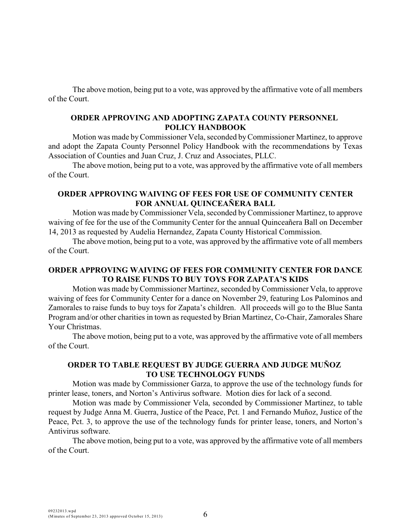The above motion, being put to a vote, was approved by the affirmative vote of all members of the Court.

## **ORDER APPROVING AND ADOPTING ZAPATA COUNTY PERSONNEL POLICY HANDBOOK**

Motion was made byCommissioner Vela, seconded byCommissioner Martinez, to approve and adopt the Zapata County Personnel Policy Handbook with the recommendations by Texas Association of Counties and Juan Cruz, J. Cruz and Associates, PLLC.

The above motion, being put to a vote, was approved by the affirmative vote of all members of the Court.

### **ORDER APPROVING WAIVING OF FEES FOR USE OF COMMUNITY CENTER FOR ANNUAL QUINCEAÑERA BALL**

Motion was made byCommissioner Vela, seconded by Commissioner Martinez, to approve waiving of fee for the use of the Community Center for the annual Quinceañera Ball on December 14, 2013 as requested by Audelia Hernandez, Zapata County Historical Commission.

The above motion, being put to a vote, was approved by the affirmative vote of all members of the Court.

# **ORDER APPROVING WAIVING OF FEES FOR COMMUNITY CENTER FOR DANCE TO RAISE FUNDS TO BUY TOYS FOR ZAPATA'S KIDS**

Motion was made by Commissioner Martinez, seconded byCommissioner Vela, to approve waiving of fees for Community Center for a dance on November 29, featuring Los Palominos and Zamorales to raise funds to buy toys for Zapata's children. All proceeds will go to the Blue Santa Program and/or other charities in town as requested by Brian Martinez, Co-Chair, Zamorales Share Your Christmas.

The above motion, being put to a vote, was approved by the affirmative vote of all members of the Court.

## **ORDER TO TABLE REQUEST BY JUDGE GUERRA AND JUDGE MUÑOZ TO USE TECHNOLOGY FUNDS**

Motion was made by Commissioner Garza, to approve the use of the technology funds for printer lease, toners, and Norton's Antivirus software. Motion dies for lack of a second.

Motion was made by Commissioner Vela, seconded by Commissioner Martinez, to table request by Judge Anna M. Guerra, Justice of the Peace, Pct. 1 and Fernando Muñoz, Justice of the Peace, Pct. 3, to approve the use of the technology funds for printer lease, toners, and Norton's Antivirus software.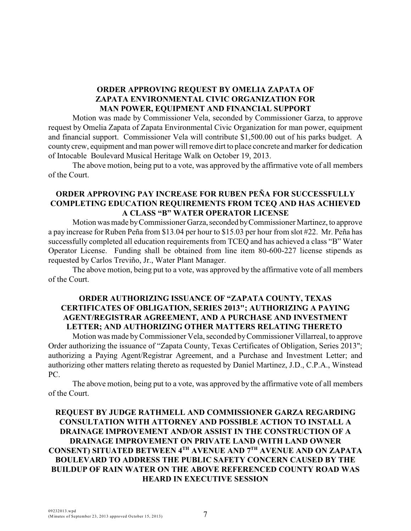# **ORDER APPROVING REQUEST BY OMELIA ZAPATA OF ZAPATA ENVIRONMENTAL CIVIC ORGANIZATION FOR MAN POWER, EQUIPMENT AND FINANCIAL SUPPORT**

Motion was made by Commissioner Vela, seconded by Commissioner Garza, to approve request by Omelia Zapata of Zapata Environmental Civic Organization for man power, equipment and financial support. Commissioner Vela will contribute \$1,500.00 out of his parks budget. A county crew, equipment and man power will remove dirt to place concrete and marker for dedication of Intocable Boulevard Musical Heritage Walk on October 19, 2013.

The above motion, being put to a vote, was approved by the affirmative vote of all members of the Court.

## **ORDER APPROVING PAY INCREASE FOR RUBEN PEÑA FOR SUCCESSFULLY COMPLETING EDUCATION REQUIREMENTS FROM TCEQ AND HAS ACHIEVED A CLASS "B" WATER OPERATOR LICENSE**

Motion was made by Commissioner Garza, seconded by Commissioner Martinez, to approve a pay increase for Ruben Peña from \$13.04 per hour to \$15.03 per hour from slot #22. Mr. Peña has successfully completed all education requirements from TCEQ and has achieved a class "B" Water Operator License. Funding shall be obtained from line item 80-600-227 license stipends as requested by Carlos Treviño, Jr., Water Plant Manager.

The above motion, being put to a vote, was approved by the affirmative vote of all members of the Court.

# **ORDER AUTHORIZING ISSUANCE OF "ZAPATA COUNTY, TEXAS CERTIFICATES OF OBLIGATION, SERIES 2013"; AUTHORIZING A PAYING AGENT/REGISTRAR AGREEMENT, AND A PURCHASE AND INVESTMENT LETTER; AND AUTHORIZING OTHER MATTERS RELATING THERETO**

Motion was made byCommissioner Vela, seconded by Commissioner Villarreal, to approve Order authorizing the issuance of "Zapata County, Texas Certificates of Obligation, Series 2013"; authorizing a Paying Agent/Registrar Agreement, and a Purchase and Investment Letter; and authorizing other matters relating thereto as requested by Daniel Martinez, J.D., C.P.A., Winstead PC.

The above motion, being put to a vote, was approved by the affirmative vote of all members of the Court.

# **REQUEST BY JUDGE RATHMELL AND COMMISSIONER GARZA REGARDING CONSULTATION WITH ATTORNEY AND POSSIBLE ACTION TO INSTALL A DRAINAGE IMPROVEMENT AND/OR ASSIST IN THE CONSTRUCTION OF A DRAINAGE IMPROVEMENT ON PRIVATE LAND (WITH LAND OWNER CONSENT) SITUATED BETWEEN 4<sup>TH</sup> AVENUE AND 7<sup>TH</sup> AVENUE AND ON ZAPATA BOULEVARD TO ADDRESS THE PUBLIC SAFETY CONCERN CAUSED BY THE BUILDUP OF RAIN WATER ON THE ABOVE REFERENCED COUNTY ROAD WAS HEARD IN EXECUTIVE SESSION**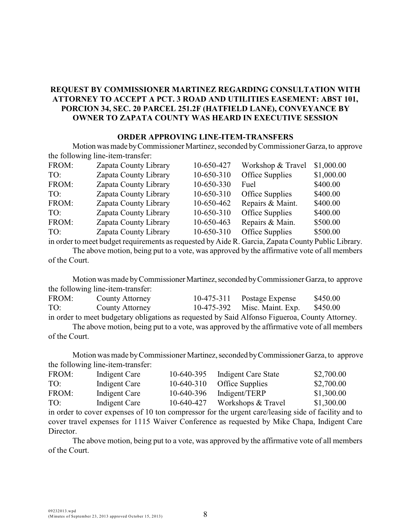# **REQUEST BY COMMISSIONER MARTINEZ REGARDING CONSULTATION WITH ATTORNEY TO ACCEPT A PCT. 3 ROAD AND UTILITIES EASEMENT: ABST 101, PORCION 34, SEC. 20 PARCEL 251.2F (HATFIELD LANE), CONVEYANCE BY OWNER TO ZAPATA COUNTY WAS HEARD IN EXECUTIVE SESSION**

#### **ORDER APPROVING LINE-ITEM-TRANSFERS**

Motion was made by Commissioner Martinez, seconded by Commissioner Garza, to approve the following line-item-transfer:

| FROM: | Zapata County Library | 10-650-427 | Workshop & Travel | \$1,000.00 |
|-------|-----------------------|------------|-------------------|------------|
| TO:   | Zapata County Library | 10-650-310 | Office Supplies   | \$1,000.00 |
| FROM: | Zapata County Library | 10-650-330 | Fuel              | \$400.00   |
| TO:   | Zapata County Library | 10-650-310 | Office Supplies   | \$400.00   |
| FROM: | Zapata County Library | 10-650-462 | Repairs & Maint.  | \$400.00   |
| TO:   | Zapata County Library | 10-650-310 | Office Supplies   | \$400.00   |
| FROM: | Zapata County Library | 10-650-463 | Repairs & Main.   | \$500.00   |
| TO:   | Zapata County Library | 10-650-310 | Office Supplies   | \$500.00   |

in order to meet budget requirements as requested by Aide R. Garcia, Zapata County Public Library. The above motion, being put to a vote, was approved by the affirmative vote of all members of the Court.

Motion was made by Commissioner Martinez, seconded by Commissioner Garza, to approve the following line-item-transfer:

| FROM: | County Attorney | 10-475-311 Postage Expense   | \$450.00 |
|-------|-----------------|------------------------------|----------|
| TO:   | County Attorney | 10-475-392 Misc. Maint. Exp. | \$450.00 |
|       |                 |                              |          |

in order to meet budgetary obligations as requested by Said Alfonso Figueroa, County Attorney. The above motion, being put to a vote, was approved by the affirmative vote of all members of the Court.

Motion was made by Commissioner Martinez, seconded by Commissioner Garza, to approve the following line-item-transfer:

| FROM: | Indigent Care | 10-640-395   | Indigent Care State | \$2,700.00 |
|-------|---------------|--------------|---------------------|------------|
| TO:   | Indigent Care | $10-640-310$ | Office Supplies     | \$2,700.00 |
| FROM: | Indigent Care | 10-640-396   | Indigent/TERP       | \$1,300.00 |
| TO:   | Indigent Care | 10-640-427   | Workshops & Travel  | \$1,300.00 |

in order to cover expenses of 10 ton compressor for the urgent care/leasing side of facility and to cover travel expenses for 1115 Waiver Conference as requested by Mike Chapa, Indigent Care Director.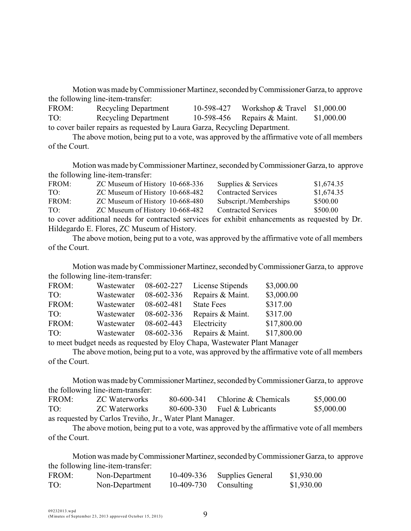Motion was made by Commissioner Martinez, seconded by Commissioner Garza, to approve the following line-item-transfer:

| FROM: | <b>Recycling Department</b>                                                | 10-598-427 Workshop & Travel \$1,000.00 |            |
|-------|----------------------------------------------------------------------------|-----------------------------------------|------------|
| TO:   | Recycling Department                                                       | 10-598-456 Repairs $\&$ Maint.          | \$1,000.00 |
|       | to cover bailer repairs as requested by Laura Garza, Recycling Department. |                                         |            |

The above motion, being put to a vote, was approved by the affirmative vote of all members of the Court.

Motion was made by Commissioner Martinez, seconded by Commissioner Garza, to approve the following line-item-transfer:

| FROM: | ZC Museum of History 10-668-336                                                                | Supplies & Services        | \$1,674.35 |
|-------|------------------------------------------------------------------------------------------------|----------------------------|------------|
| TO:   | ZC Museum of History 10-668-482                                                                | <b>Contracted Services</b> | \$1,674.35 |
| FROM: | ZC Museum of History 10-668-480                                                                | Subscript./Memberships     | \$500.00   |
| TO:   | ZC Museum of History 10-668-482                                                                | <b>Contracted Services</b> | \$500.00   |
|       | to cover additional needs for contracted services for exhibit enhancements as requested by Dr. |                            |            |

Hildegardo E. Flores, ZC Museum of History.

The above motion, being put to a vote, was approved by the affirmative vote of all members of the Court.

Motion was made by Commissioner Martinez, seconded by Commissioner Garza, to approve the following line-item-transfer:

| FROM: | Wastewater                                                                                                                                                                                                                                                                                                                                                                                                                                                   | 08-602-227 | License Stipends  | \$3,000.00  |
|-------|--------------------------------------------------------------------------------------------------------------------------------------------------------------------------------------------------------------------------------------------------------------------------------------------------------------------------------------------------------------------------------------------------------------------------------------------------------------|------------|-------------------|-------------|
| TO:   | Wastewater                                                                                                                                                                                                                                                                                                                                                                                                                                                   | 08-602-336 | Repairs & Maint.  | \$3,000.00  |
| FROM: | Wastewater                                                                                                                                                                                                                                                                                                                                                                                                                                                   | 08-602-481 | <b>State Fees</b> | \$317.00    |
| TO:   | Wastewater                                                                                                                                                                                                                                                                                                                                                                                                                                                   | 08-602-336 | Repairs & Maint.  | \$317.00    |
| FROM: | Wastewater                                                                                                                                                                                                                                                                                                                                                                                                                                                   | 08-602-443 | Electricity       | \$17,800.00 |
| TO:   | Wastewater                                                                                                                                                                                                                                                                                                                                                                                                                                                   | 08-602-336 | Repairs & Maint.  | \$17,800.00 |
|       | $\mathcal{L} = \mathcal{L} = \mathcal{L} = \mathcal{L} = \mathcal{L} = \mathcal{L} = \mathcal{L} = \mathcal{L} = \mathcal{L} = \mathcal{L} = \mathcal{L} = \mathcal{L} = \mathcal{L} = \mathcal{L} = \mathcal{L} = \mathcal{L} = \mathcal{L} = \mathcal{L} = \mathcal{L} = \mathcal{L} = \mathcal{L} = \mathcal{L} = \mathcal{L} = \mathcal{L} = \mathcal{L} = \mathcal{L} = \mathcal{L} = \mathcal{L} = \mathcal{L} = \mathcal{L} = \mathcal{L} = \mathcal$ |            |                   |             |

to meet budget needs as requested by Eloy Chapa, Wastewater Plant Manager

The above motion, being put to a vote, was approved by the affirmative vote of all members of the Court.

Motion was made by Commissioner Martinez, seconded by Commissioner Garza, to approve the following line-item-transfer:

| FROM:                                                     | <b>ZC</b> Waterworks | 80-600-341 | Chlorine & Chemicals           | \$5,000.00 |  |
|-----------------------------------------------------------|----------------------|------------|--------------------------------|------------|--|
| TO:                                                       | ZC Waterworks        |            | $80-600-330$ Fuel & Lubricants | \$5,000.00 |  |
| as requested by Carlos Treviño, Jr., Water Plant Manager. |                      |            |                                |            |  |

The above motion, being put to a vote, was approved by the affirmative vote of all members of the Court.

Motion was made by Commissioner Martinez, seconded by Commissioner Garza, to approve the following line-item-transfer:

| FROM: | Non-Department | 10-409-336 | Supplies General | \$1,930.00 |
|-------|----------------|------------|------------------|------------|
| TO:   | Non-Department | 10-409-730 | Consulting       | \$1,930.00 |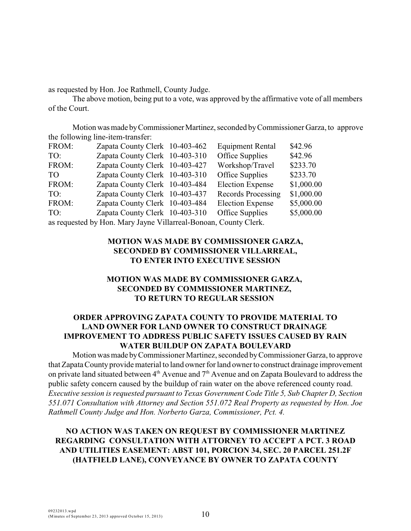as requested by Hon. Joe Rathmell, County Judge.

The above motion, being put to a vote, was approved by the affirmative vote of all members of the Court.

Motion was made by Commissioner Martinez, seconded by Commissioner Garza, to approve the following line-item-transfer:

| FROM:                                                            | Zapata County Clerk 10-403-462 |  | <b>Equipment Rental</b> | \$42.96    |
|------------------------------------------------------------------|--------------------------------|--|-------------------------|------------|
| TO:                                                              | Zapata County Clerk 10-403-310 |  | Office Supplies         | \$42.96    |
| FROM:                                                            | Zapata County Clerk 10-403-427 |  | Workshop/Travel         | \$233.70   |
| TO.                                                              | Zapata County Clerk 10-403-310 |  | <b>Office Supplies</b>  | \$233.70   |
| FROM:                                                            | Zapata County Clerk 10-403-484 |  | <b>Election Expense</b> | \$1,000.00 |
| TO:                                                              | Zapata County Clerk 10-403-437 |  | Records Processing      | \$1,000.00 |
| FROM:                                                            | Zapata County Clerk 10-403-484 |  | <b>Election Expense</b> | \$5,000.00 |
| TO:                                                              | Zapata County Clerk 10-403-310 |  | Office Supplies         | \$5,000.00 |
| as requested by Hon. Mary Jayne Villarreal-Bonoan, County Clerk. |                                |  |                         |            |

# **MOTION WAS MADE BY COMMISSIONER GARZA, SECONDED BY COMMISSIONER VILLARREAL, TO ENTER INTO EXECUTIVE SESSION**

# **MOTION WAS MADE BY COMMISSIONER GARZA, SECONDED BY COMMISSIONER MARTINEZ, TO RETURN TO REGULAR SESSION**

# **ORDER APPROVING ZAPATA COUNTY TO PROVIDE MATERIAL TO LAND OWNER FOR LAND OWNER TO CONSTRUCT DRAINAGE IMPROVEMENT TO ADDRESS PUBLIC SAFETY ISSUES CAUSED BY RAIN WATER BUILDUP ON ZAPATA BOULEVARD**

Motion was made by Commissioner Martinez, seconded by Commissioner Garza, to approve that Zapata County provide material to land owner for land owner to construct drainage improvement on private land situated between  $4<sup>th</sup>$  Avenue and  $7<sup>th</sup>$  Avenue and on Zapata Boulevard to address the public safety concern caused by the buildup of rain water on the above referenced county road. *Executive session is requested pursuant to Texas Government Code Title 5, Sub Chapter D, Section 551.071 Consultation with Attorney and Section 551.072 Real Property as requested by Hon. Joe Rathmell County Judge and Hon. Norberto Garza, Commissioner, Pct. 4.*

# **NO ACTION WAS TAKEN ON REQUEST BY COMMISSIONER MARTINEZ REGARDING CONSULTATION WITH ATTORNEY TO ACCEPT A PCT. 3 ROAD AND UTILITIES EASEMENT: ABST 101, PORCION 34, SEC. 20 PARCEL 251.2F (HATFIELD LANE), CONVEYANCE BY OWNER TO ZAPATA COUNTY**